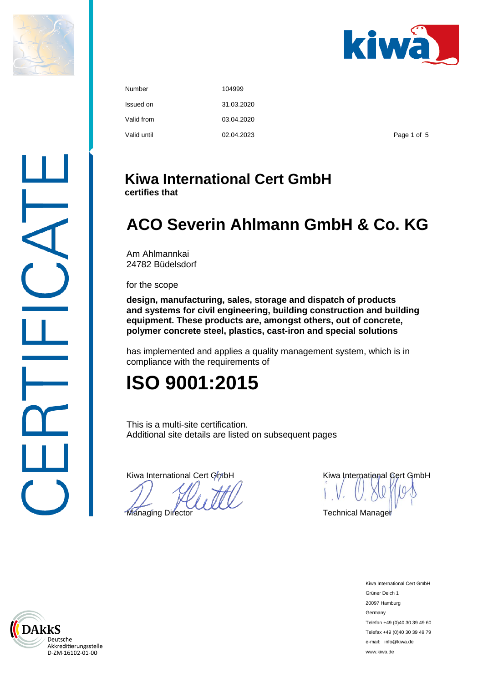



| Number      | 104999     |             |
|-------------|------------|-------------|
| Issued on   | 31.03.2020 |             |
| Valid from  | 03.04.2020 |             |
| Valid until | 02.04.2023 | Page 1 of 5 |

### **Kiwa International Cert GmbH**

**certifies that** 

## **ACO Severin Ahlmann GmbH & Co. KG**

Am Ahlmannkai 24782 Büdelsdorf

for the scope

**design, manufacturing, sales, storage and dispatch of products and systems for civil engineering, building construction and building equipment. These products are, amongst others, out of concrete, polymer concrete steel, plastics, cast-iron and special solutions** 

has implemented and applies a quality management system, which is in compliance with the requirements of

# **ISO 9001:2015**

This is a multi-site certification. Additional site details are listed on subsequent pages

**Managing Director** COCC COMPONE Technical Manager

Kiwa International Cert GmbH **Kiwa International Cert GmbH** 

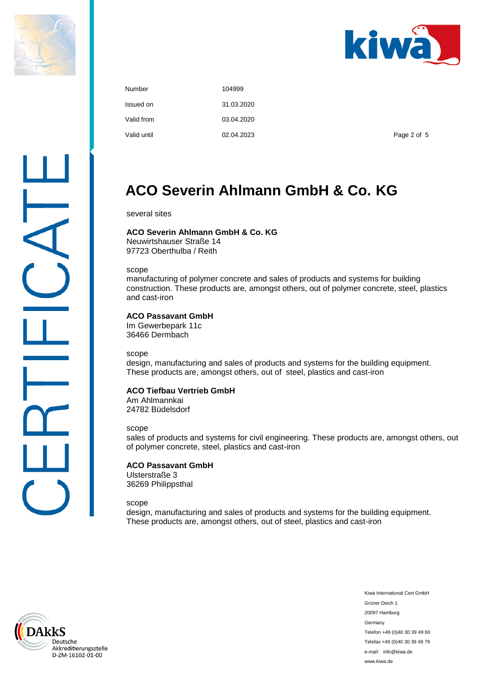



| Number      | 104999     |
|-------------|------------|
| Issued on   | 31.03.2020 |
| Valid from  | 03.04.2020 |
| Valid until | 02.04.2023 |

Page 2 of 5

### **ACO Severin Ahlmann GmbH & Co. KG**

several sites

#### **ACO Severin Ahlmann GmbH & Co. KG**

Neuwirtshauser Straße 14 97723 Oberthulba / Reith

scope

manufacturing of polymer concrete and sales of products and systems for building construction. These products are, amongst others, out of polymer concrete, steel, plastics and cast-iron

#### **ACO Passavant GmbH**

Im Gewerbepark 11c 36466 Dermbach

scope

design, manufacturing and sales of products and systems for the building equipment. These products are, amongst others, out of steel, plastics and cast-iron

#### **ACO Tiefbau Vertrieb GmbH**

Am Ahlmannkai 24782 Büdelsdorf

#### scope

sales of products and systems for civil engineering. These products are, amongst others, out of polymer concrete, steel, plastics and cast-iron

#### **ACO Passavant GmbH**

Ulsterstraße 3 36269 Philippsthal

#### scope

design, manufacturing and sales of products and systems for the building equipment. These products are, amongst others, out of steel, plastics and cast-iron

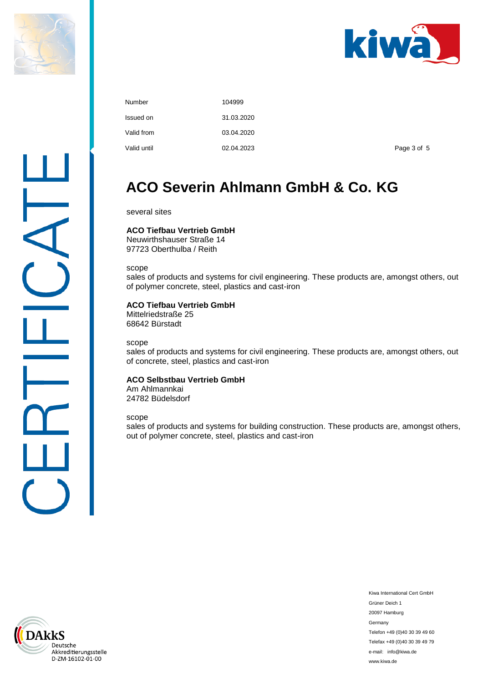



| Number      | 104999     |
|-------------|------------|
| Issued on   | 31.03.2020 |
| Valid from  | 03.04.2020 |
| Valid until | 02.04.2023 |

Page 3 of 5

### **ACO Severin Ahlmann GmbH & Co. KG**

several sites

#### **ACO Tiefbau Vertrieb GmbH**

Neuwirthshauser Straße 14 97723 Oberthulba / Reith

scope

sales of products and systems for civil engineering. These products are, amongst others, out of polymer concrete, steel, plastics and cast-iron

#### **ACO Tiefbau Vertrieb GmbH**

Mittelriedstraße 25 68642 Bürstadt

scope

sales of products and systems for civil engineering. These products are, amongst others, out of concrete, steel, plastics and cast-iron

#### **ACO Selbstbau Vertrieb GmbH**

Am Ahlmannkai 24782 Büdelsdorf

scope

sales of products and systems for building construction. These products are, amongst others, out of polymer concrete, steel, plastics and cast-iron

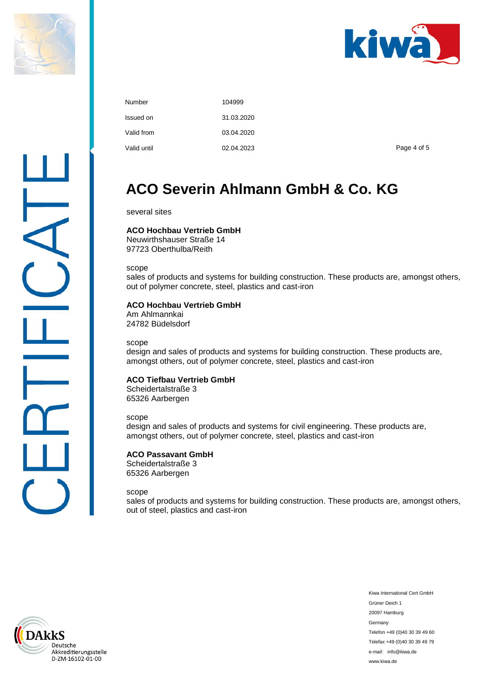



| Number      | 104999     |
|-------------|------------|
| Issued on   | 31.03.2020 |
| Valid from  | 03.04.2020 |
| Valid until | 02.04.2023 |

Page 4 of 5

### **ACO Severin Ahlmann GmbH & Co. KG**

several sites

#### **ACO Hochbau Vertrieb GmbH**

Neuwirthshauser Straße 14 97723 Oberthulba/Reith

scope

sales of products and systems for building construction. These products are, amongst others, out of polymer concrete, steel, plastics and cast-iron

#### **ACO Hochbau Vertrieb GmbH**

Am Ahlmannkai 24782 Büdelsdorf

scope

design and sales of products and systems for building construction. These products are, amongst others, out of polymer concrete, steel, plastics and cast-iron

#### **ACO Tiefbau Vertrieb GmbH**

Scheidertalstraße 3 65326 Aarbergen

scope

design and sales of products and systems for civil engineering. These products are, amongst others, out of polymer concrete, steel, plastics and cast-iron

#### **ACO Passavant GmbH**

Scheidertalstraße 3 65326 Aarbergen

scope

sales of products and systems for building construction. These products are, amongst others, out of steel, plastics and cast-iron

kkS Deutsche Akkreditierungsstelle D-ZM-16102-01-00